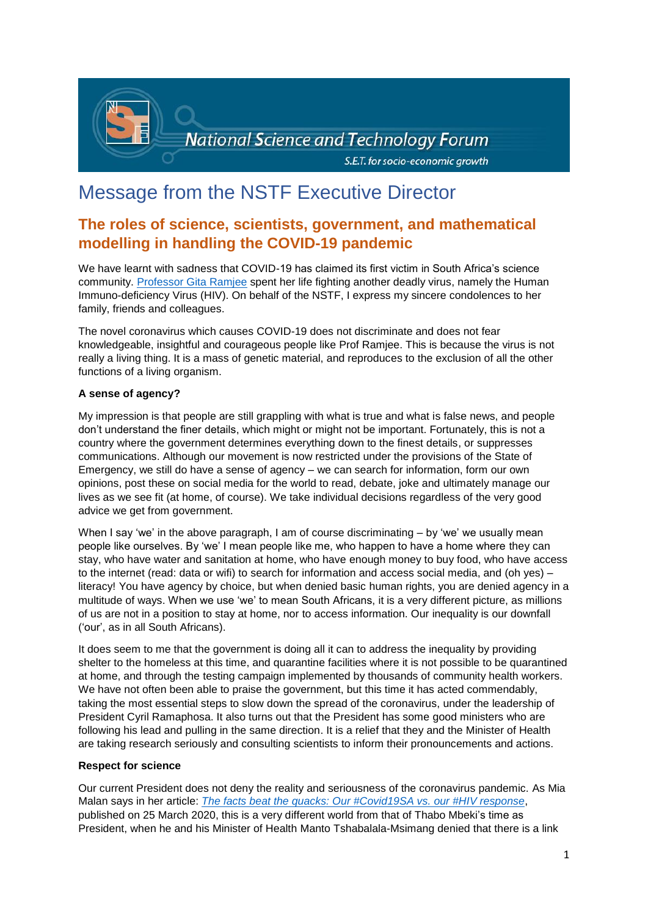

# Message from the NSTF Executive Director

# **The roles of science, scientists, government, and mathematical modelling in handling the COVID-19 pandemic**

We have learnt with sadness that COVID-19 has claimed its first victim in South Africa's science community. [Professor Gita Ramjee](https://www.iol.co.za/news/opinion/prof-gita-ramjee-died-of-a-terrible-virus-after-spending-her-life-fighting-another-45883978) spent her life fighting another deadly virus, namely the Human Immuno-deficiency Virus (HIV). On behalf of the NSTF, I express my sincere condolences to her family, friends and colleagues.

The novel coronavirus which causes COVID-19 does not discriminate and does not fear knowledgeable, insightful and courageous people like Prof Ramjee. This is because the virus is not really a living thing. It is a mass of genetic material, and reproduces to the exclusion of all the other functions of a living organism.

# **A sense of agency?**

My impression is that people are still grappling with what is true and what is false news, and people don't understand the finer details, which might or might not be important. Fortunately, this is not a country where the government determines everything down to the finest details, or suppresses communications. Although our movement is now restricted under the provisions of the State of Emergency, we still do have a sense of agency – we can search for information, form our own opinions, post these on social media for the world to read, debate, joke and ultimately manage our lives as we see fit (at home, of course). We take individual decisions regardless of the very good advice we get from government.

When I say 'we' in the above paragraph, I am of course discriminating – by 'we' we usually mean people like ourselves. By 'we' I mean people like me, who happen to have a home where they can stay, who have water and sanitation at home, who have enough money to buy food, who have access to the internet (read: data or wifi) to search for information and access social media, and (oh yes) – literacy! You have agency by choice, but when denied basic human rights, you are denied agency in a multitude of ways. When we use 'we' to mean South Africans, it is a very different picture, as millions of us are not in a position to stay at home, nor to access information. Our inequality is our downfall ('our', as in all South Africans).

It does seem to me that the government is doing all it can to address the inequality by providing shelter to the homeless at this time, and quarantine facilities where it is not possible to be quarantined at home, and through the testing campaign implemented by thousands of community health workers. We have not often been able to praise the government, but this time it has acted commendably, taking the most essential steps to slow down the spread of the coronavirus, under the leadership of President Cyril Ramaphosa. It also turns out that the President has some good ministers who are following his lead and pulling in the same direction. It is a relief that they and the Minister of Health are taking research seriously and consulting scientists to inform their pronouncements and actions.

## **Respect for science**

Our current President does not deny the reality and seriousness of the coronavirus pandemic. As Mia Malan says in her article: *The facts [beat the quacks: Our #Covid19SA vs. our #HIV response](https://bhekisisa.org/article/2020-03-25-coronavirus-reporting-journalism-hiv-denialism-evidence-based-response-south-africa-cyril-ramaphosa-thabo-mbeki/?utm_campaign=Bhekisisa-In-Your-Inbox&utm_medium=email%20&utm_source=26%20March)*, published on 25 March 2020, this is a very different world from that of Thabo Mbeki's time as President, when he and his Minister of Health Manto Tshabalala-Msimang denied that there is a link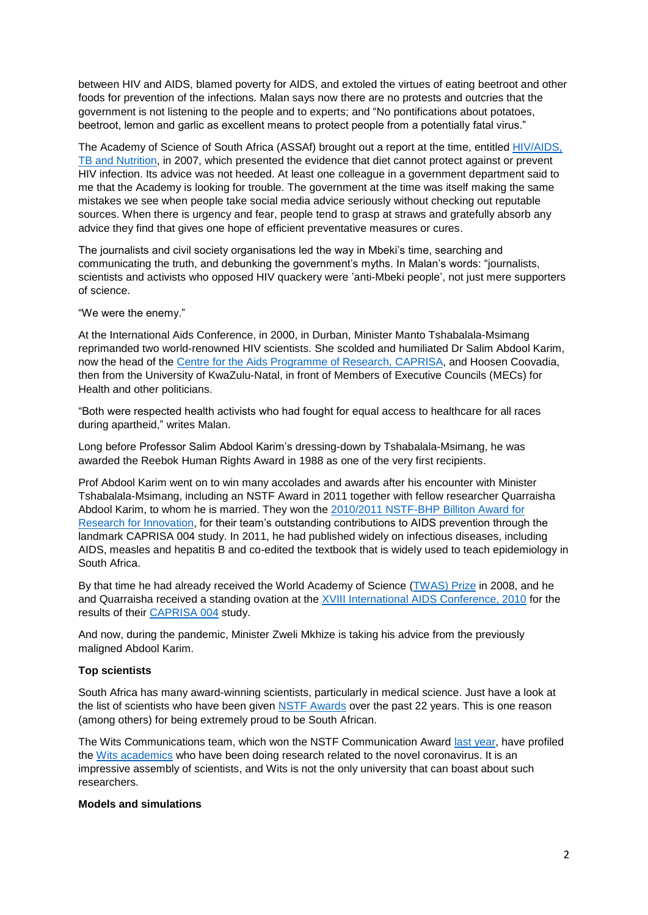between HIV and AIDS, blamed poverty for AIDS, and extoled the virtues of eating beetroot and other foods for prevention of the infections. Malan says now there are no protests and outcries that the government is not listening to the people and to experts; and "No pontifications about potatoes, beetroot, lemon and garlic as excellent means to protect people from a potentially fatal virus."

The Academy of Science of South Africa (ASSAf) brought out a report at the time, entitled [HIV/AIDS,](http://hdl.handle.net/20.500.11911/50)  [TB and Nutrition,](http://hdl.handle.net/20.500.11911/50) in 2007, which presented the evidence that diet cannot protect against or prevent HIV infection. Its advice was not heeded. At least one colleague in a government department said to me that the Academy is looking for trouble. The government at the time was itself making the same mistakes we see when people take social media advice seriously without checking out reputable sources. When there is urgency and fear, people tend to grasp at straws and gratefully absorb any advice they find that gives one hope of efficient preventative measures or cures.

The journalists and civil society organisations led the way in Mbeki's time, searching and communicating the truth, and debunking the government's myths. In Malan's words: "journalists, scientists and activists who opposed HIV quackery were 'anti-Mbeki people', not just mere supporters of science.

"We were the enemy."

At the International Aids Conference, in 2000, in Durban, Minister Manto Tshabalala-Msimang reprimanded two world-renowned HIV scientists. She scolded and humiliated Dr Salim Abdool Karim, now the head of the [Centre for the Aids Programme of Research, CAPRISA,](http://www.caprisa.org/) and Hoosen Coovadia, then from the University of KwaZulu-Natal, in front of Members of Executive Councils (MECs) for Health and other politicians.

"Both were respected health activists who had fought for equal access to healthcare for all races during apartheid," writes Malan.

Long before Professor Salim Abdool Karim's dressing-down by Tshabalala-Msimang, he was awarded the Reebok Human Rights Award in 1988 as one of the very first recipients.

Prof Abdool Karim went on to win many accolades and awards after his encounter with Minister Tshabalala-Msimang, including an NSTF Award in 2011 together with fellow researcher Quarraisha Abdool Karim, to whom he is married. They won the [2010/2011 NSTF-BHP Billiton Award for](http://www.nstf.org.za/wp-content/uploads/2017/06/10-Press-Release-Announcement_Final-DevV4.pdf)  [Research for Innovation,](http://www.nstf.org.za/wp-content/uploads/2017/06/10-Press-Release-Announcement_Final-DevV4.pdf) for their team's outstanding contributions to AIDS prevention through the landmark CAPRISA 004 study. In 2011, he had published widely on infectious diseases, including AIDS, measles and hepatitis B and co-edited the textbook that is widely used to teach epidemiology in South Africa.

By that time he had already received the World Academy of Science [\(TWAS\)](https://en.wikipedia.org/wiki/TWAS_Prize) Prize in 2008, and he and Quarraisha received a standing ovation at the **XVIII International AIDS Conference**, 2010 for the results of their [CAPRISA 004](https://en.wikipedia.org/wiki/CAPRISA_004) study.

And now, during the pandemic, Minister Zweli Mkhize is taking his advice from the previously maligned Abdool Karim.

## **Top scientists**

South Africa has many award-winning scientists, particularly in medical science. Just have a look at the list of scientists who have been given [NSTF Awards](http://www.nstf.org.za/awards/winners/previous/) over the past 22 years. This is one reason (among others) for being extremely proud to be South African.

The Wits Communications team, which won the NSTF Communication Award [last year,](http://www.nstf.org.za/awards/winners/current/) have profiled the [Wits academics](http://www.wits.ac.za/covid19/latest-news/wits-heroes-confront-covid-19.html) who have been doing research related to the novel coronavirus. It is an impressive assembly of scientists, and Wits is not the only university that can boast about such researchers.

#### **Models and simulations**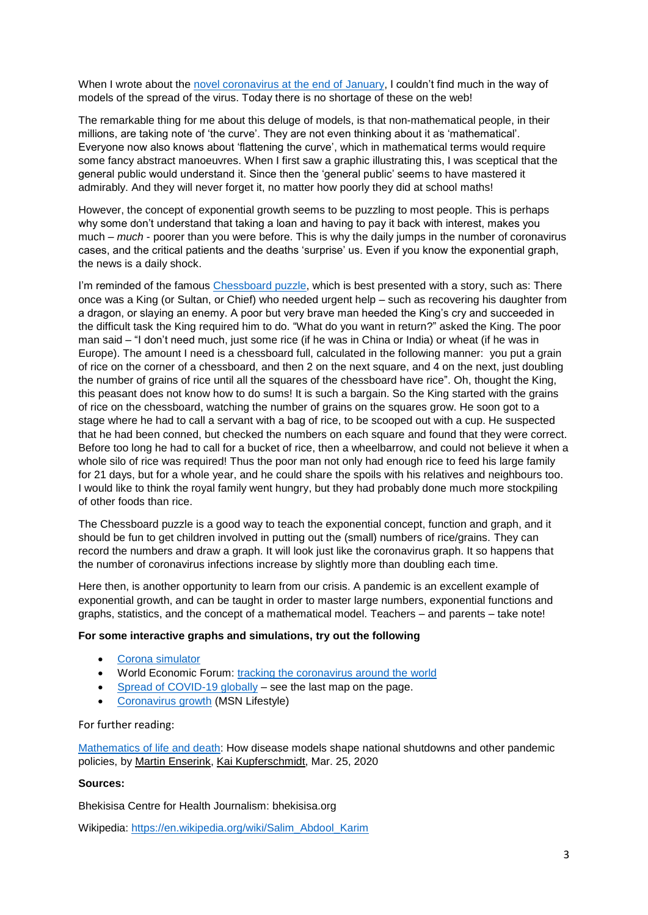When I wrote about the [novel coronavirus at the end of January,](http://www.nstf.org.za/wp-content/uploads/2020/02/eNewsFebruary.pdf) I couldn't find much in the way of models of the spread of the virus. Today there is no shortage of these on the web!

The remarkable thing for me about this deluge of models, is that non-mathematical people, in their millions, are taking note of 'the curve'. They are not even thinking about it as 'mathematical'. Everyone now also knows about 'flattening the curve', which in mathematical terms would require some fancy abstract manoeuvres. When I first saw a graphic illustrating this, I was sceptical that the general public would understand it. Since then the 'general public' seems to have mastered it admirably. And they will never forget it, no matter how poorly they did at school maths!

However, the concept of exponential growth seems to be puzzling to most people. This is perhaps why some don't understand that taking a loan and having to pay it back with interest, makes you much – *much* - poorer than you were before. This is why the daily jumps in the number of coronavirus cases, and the critical patients and the deaths 'surprise' us. Even if you know the exponential graph, the news is a daily shock.

I'm reminded of the famous [Chessboard puzzle,](https://en.wikipedia.org/wiki/Wheat_and_chessboard_problem) which is best presented with a story, such as: There once was a King (or Sultan, or Chief) who needed urgent help – such as recovering his daughter from a dragon, or slaying an enemy. A poor but very brave man heeded the King's cry and succeeded in the difficult task the King required him to do. "What do you want in return?" asked the King. The poor man said – "I don't need much, just some rice (if he was in China or India) or wheat (if he was in Europe). The amount I need is a chessboard full, calculated in the following manner: you put a grain of rice on the corner of a chessboard, and then 2 on the next square, and 4 on the next, just doubling the number of grains of rice until all the squares of the chessboard have rice". Oh, thought the King, this peasant does not know how to do sums! It is such a bargain. So the King started with the grains of rice on the chessboard, watching the number of grains on the squares grow. He soon got to a stage where he had to call a servant with a bag of rice, to be scooped out with a cup. He suspected that he had been conned, but checked the numbers on each square and found that they were correct. Before too long he had to call for a bucket of rice, then a wheelbarrow, and could not believe it when a whole silo of rice was required! Thus the poor man not only had enough rice to feed his large family for 21 days, but for a whole year, and he could share the spoils with his relatives and neighbours too. I would like to think the royal family went hungry, but they had probably done much more stockpiling of other foods than rice.

The Chessboard puzzle is a good way to teach the exponential concept, function and graph, and it should be fun to get children involved in putting out the (small) numbers of rice/grains. They can record the numbers and draw a graph. It will look just like the coronavirus graph. It so happens that the number of coronavirus infections increase by slightly more than doubling each time.

Here then, is another opportunity to learn from our crisis. A pandemic is an excellent example of exponential growth, and can be taught in order to master large numbers, exponential functions and graphs, statistics, and the concept of a mathematical model. Teachers – and parents – take note!

## **For some interactive graphs and simulations, try out the following**

- [Corona simulator](https://www.washingtonpost.com/graphics/2020/world/corona-simulator/?itid=hp_no-name_hp-in-the-news%3Apage%2Fin-the-news)
- World Economic Forum: [tracking the coronavirus around the](https://www.weforum.org/agenda/2020/03/coronavirus-tracking-around-the-world/) world
- [Spread of COVID-19 globally](https://www.msn.com/en-za/health/healthnews/coronavirus-map-tracks-spread-of-outbreak-around-the-world/ar-BB11Gydq?li=BBqg6Q7) see the last map on the page.
- [Coronavirus growth](https://graphics.reuters.com/HEALTH-CORONAVIRUS-GROWTH/0100B5KL438/index.html) (MSN Lifestyle)

#### For further reading:

[Mathematics of life and death:](https://www.sciencemag.org/news/2020/03/mathematics-life-and-death-how-disease-models-shape-national-shutdowns-and-other?utm_source=Nature+Briefing&utm_campaign=62eef63063-briefing-dy-20200326&utm_medium=email&utm_term=0_c9dfd39373-62eef63063-44314553) How disease models shape national shutdowns and other pandemic policies, by [Martin Enserink,](https://www.sciencemag.org/author/martin-enserink) [Kai Kupferschmidt,](https://www.sciencemag.org/author/kai-kupferschmidt) Mar. 25, 2020

#### **Sources:**

Bhekisisa Centre for Health Journalism: bhekisisa.org

Wikipedia: [https://en.wikipedia.org/wiki/Salim\\_Abdool\\_Karim](https://en.wikipedia.org/wiki/Salim_Abdool_Karim)